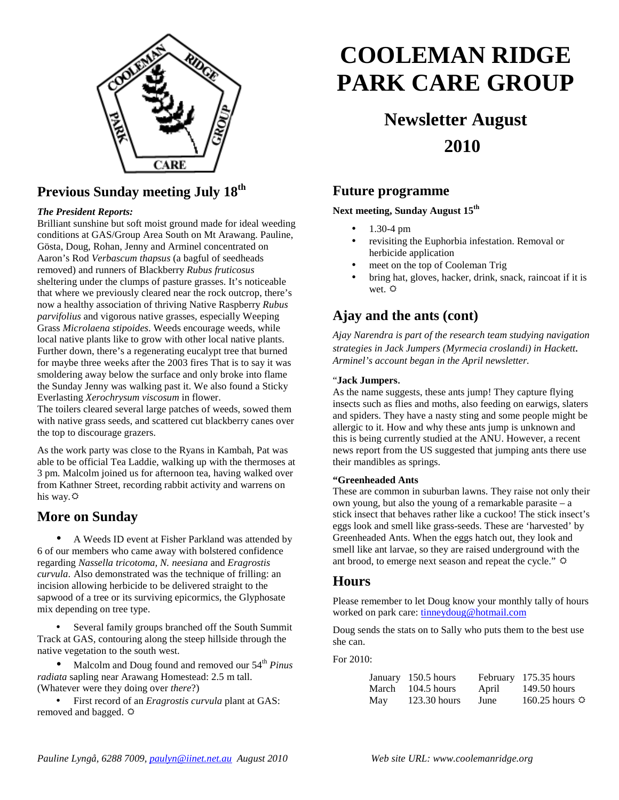

### **Previous Sunday meeting July 18th**

#### *The President Reports:*

Brilliant sunshine but soft moist ground made for ideal weeding conditions at GAS/Group Area South on Mt Arawang. Pauline, Gösta, Doug, Rohan, Jenny and Arminel concentrated on Aaron's Rod *Verbascum thapsus* (a bagful of seedheads removed) and runners of Blackberry *Rubus fruticosus* sheltering under the clumps of pasture grasses. It's noticeable that where we previously cleared near the rock outcrop, there's now a healthy association of thriving Native Raspberry *Rubus parvifolius* and vigorous native grasses, especially Weeping Grass *Microlaena stipoides*. Weeds encourage weeds, while local native plants like to grow with other local native plants. Further down, there's a regenerating eucalypt tree that burned for maybe three weeks after the 2003 fires That is to say it was smoldering away below the surface and only broke into flame the Sunday Jenny was walking past it. We also found a Sticky Everlasting *Xerochrysum viscosum* in flower.

The toilers cleared several large patches of weeds, sowed them with native grass seeds, and scattered cut blackberry canes over the top to discourage grazers.

As the work party was close to the Ryans in Kambah, Pat was able to be official Tea Laddie, walking up with the thermoses at 3 pm. Malcolm joined us for afternoon tea, having walked over from Kathner Street, recording rabbit activity and warrens on his way*.*

### **More on Sunday**

• A Weeds ID event at Fisher Parkland was attended by 6 of our members who came away with bolstered confidence regarding *Nassella tricotoma, N. neesiana* and *Eragrostis curvula*. Also demonstrated was the technique of frilling: an incision allowing herbicide to be delivered straight to the sapwood of a tree or its surviving epicormics, the Glyphosate mix depending on tree type.

Several family groups branched off the South Summit Track at GAS, contouring along the steep hillside through the native vegetation to the south west.

Malcolm and Doug found and removed our 54<sup>th</sup> Pinus *radiata* sapling near Arawang Homestead: 2.5 m tall. (Whatever were they doing over *there*?)

• First record of an *Eragrostis curvula* plant at GAS: removed and bagged.  $\Leftrightarrow$ 

# **COOLEMAN RIDGE PARK CARE GROUP**

## **Newsletter August 2010**

### **Future programme**

**Next meeting, Sunday August 15th** 

- 1.30-4 pm
- revisiting the Euphorbia infestation. Removal or herbicide application
- meet on the top of Cooleman Trig
- bring hat, gloves, hacker, drink, snack, raincoat if it is wet.  $\ddot{Q}$

### **Ajay and the ants (cont)**

*Ajay Narendra is part of the research team studying navigation strategies in Jack Jumpers (Myrmecia croslandi) in Hackett. Arminel's account began in the April newsletter.* 

#### "**Jack Jumpers**.

As the name suggests, these ants jump! They capture flying insects such as flies and moths, also feeding on earwigs, slaters and spiders. They have a nasty sting and some people might be allergic to it. How and why these ants jump is unknown and this is being currently studied at the ANU. However, a recent news report from the US suggested that jumping ants there use their mandibles as springs.

#### **"Greenheaded Ants**

These are common in suburban lawns. They raise not only their own young, but also the young of a remarkable parasite – a stick insect that behaves rather like a cuckoo! The stick insect's eggs look and smell like grass-seeds. These are 'harvested' by Greenheaded Ants. When the eggs hatch out, they look and smell like ant larvae, so they are raised underground with the ant brood, to emerge next season and repeat the cycle."

### **Hours**

Please remember to let Doug know your monthly tally of hours worked on park care: tinneydoug@hotmail.com

Doug sends the stats on to Sally who puts them to the best use she can.

For 2010:

|     | January 150.5 hours |       | February 175.35 hours |
|-----|---------------------|-------|-----------------------|
|     | March 104.5 hours   | April | 149.50 hours          |
| May | $123.30$ hours      | June  | 160.25 hours $\Phi$   |